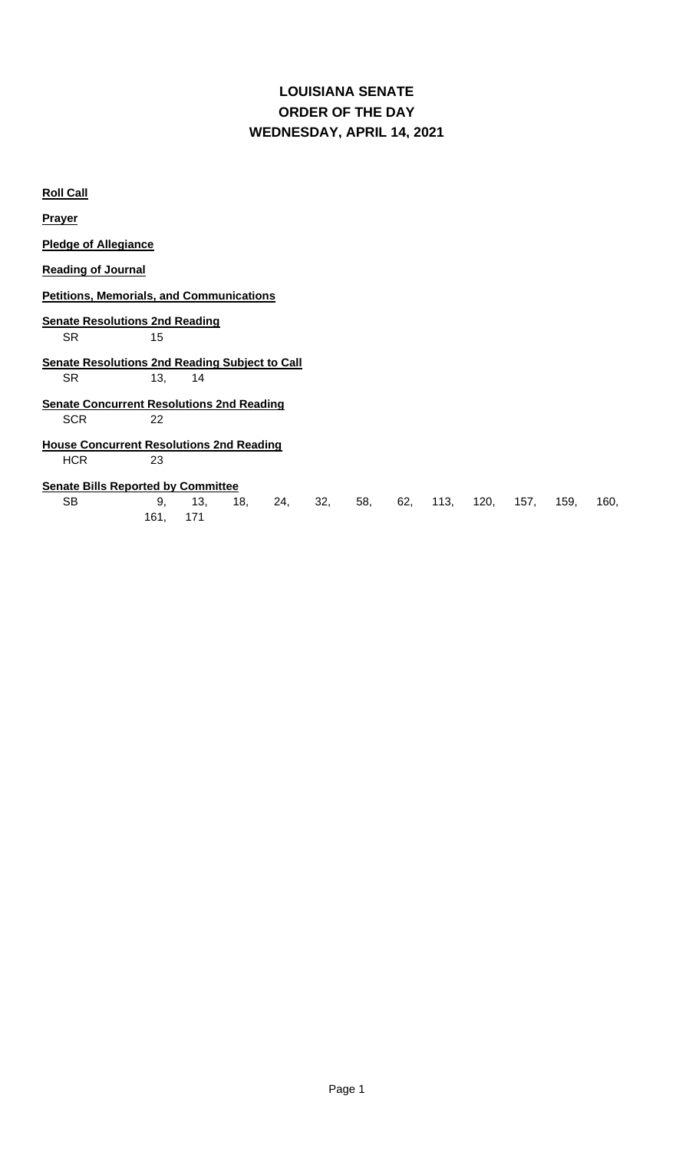## **LOUISIANA SENATE WEDNESDAY, APRIL 14, 2021 ORDER OF THE DAY**

| <b>Roll Call</b>                                                                |            |            |     |     |     |     |     |      |      |      |      |      |
|---------------------------------------------------------------------------------|------------|------------|-----|-----|-----|-----|-----|------|------|------|------|------|
| <b>Prayer</b>                                                                   |            |            |     |     |     |     |     |      |      |      |      |      |
| <b>Pledge of Allegiance</b>                                                     |            |            |     |     |     |     |     |      |      |      |      |      |
| <b>Reading of Journal</b>                                                       |            |            |     |     |     |     |     |      |      |      |      |      |
| <b>Petitions, Memorials, and Communications</b>                                 |            |            |     |     |     |     |     |      |      |      |      |      |
| <b>Senate Resolutions 2nd Reading</b><br><b>SR</b><br>15                        |            |            |     |     |     |     |     |      |      |      |      |      |
| <b>Senate Resolutions 2nd Reading Subject to Call</b><br><b>SR</b><br>13,<br>14 |            |            |     |     |     |     |     |      |      |      |      |      |
| <b>Senate Concurrent Resolutions 2nd Reading</b>                                |            |            |     |     |     |     |     |      |      |      |      |      |
| <b>SCR</b>                                                                      | 22         |            |     |     |     |     |     |      |      |      |      |      |
| <b>House Concurrent Resolutions 2nd Reading</b>                                 |            |            |     |     |     |     |     |      |      |      |      |      |
| <b>HCR</b>                                                                      | 23         |            |     |     |     |     |     |      |      |      |      |      |
| <b>Senate Bills Reported by Committee</b>                                       |            |            |     |     |     |     |     |      |      |      |      |      |
| <b>SB</b>                                                                       | 9,<br>161, | 13,<br>171 | 18, | 24, | 32, | 58, | 62, | 113, | 120, | 157, | 159, | 160, |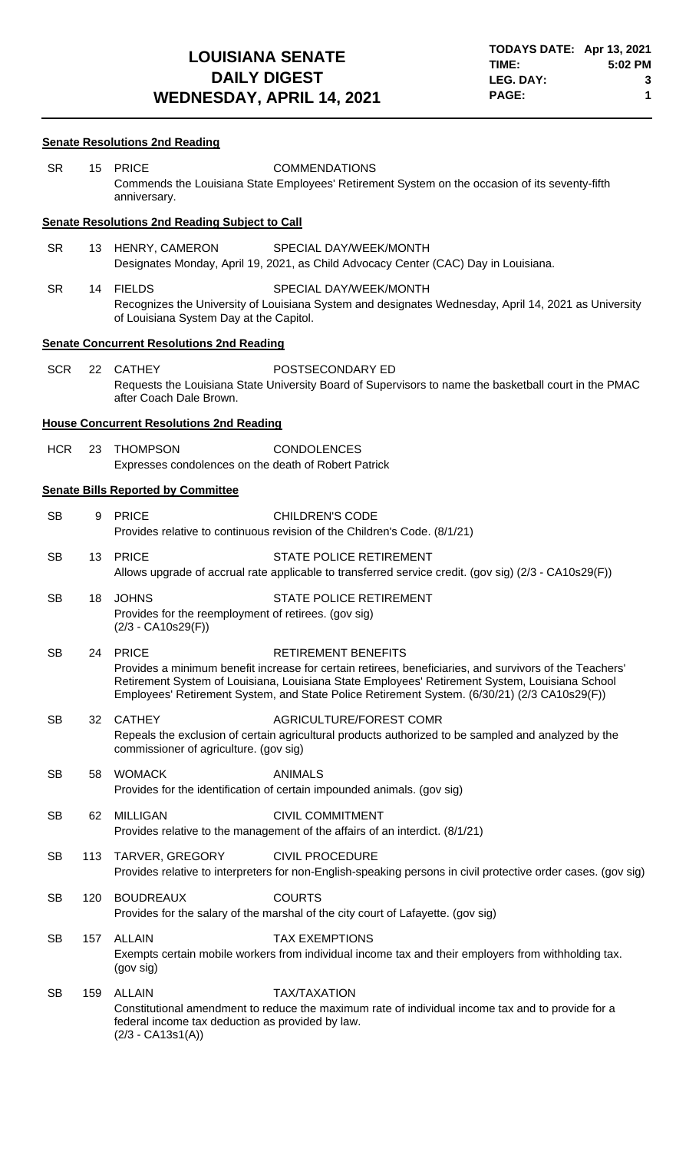## **Senate Resolutions 2nd Reading**

| <b>SR</b>  |     | 15 PRICE<br>anniversary.                                                                     | <b>COMMENDATIONS</b><br>Commends the Louisiana State Employees' Retirement System on the occasion of its seventy-fifth                                                                                                                                                                                                                  |
|------------|-----|----------------------------------------------------------------------------------------------|-----------------------------------------------------------------------------------------------------------------------------------------------------------------------------------------------------------------------------------------------------------------------------------------------------------------------------------------|
|            |     | <b>Senate Resolutions 2nd Reading Subject to Call</b>                                        |                                                                                                                                                                                                                                                                                                                                         |
| <b>SR</b>  |     | 13 HENRY, CAMERON                                                                            | SPECIAL DAY/WEEK/MONTH<br>Designates Monday, April 19, 2021, as Child Advocacy Center (CAC) Day in Louisiana.                                                                                                                                                                                                                           |
| <b>SR</b>  |     | 14 FIELDS<br>of Louisiana System Day at the Capitol.                                         | SPECIAL DAY/WEEK/MONTH<br>Recognizes the University of Louisiana System and designates Wednesday, April 14, 2021 as University                                                                                                                                                                                                          |
|            |     | <b>Senate Concurrent Resolutions 2nd Reading</b>                                             |                                                                                                                                                                                                                                                                                                                                         |
| <b>SCR</b> |     | 22 CATHEY<br>after Coach Dale Brown.                                                         | POSTSECONDARY ED<br>Requests the Louisiana State University Board of Supervisors to name the basketball court in the PMAC                                                                                                                                                                                                               |
|            |     | <b>House Concurrent Resolutions 2nd Reading</b>                                              |                                                                                                                                                                                                                                                                                                                                         |
| <b>HCR</b> | 23  | <b>THOMPSON</b><br>Expresses condolences on the death of Robert Patrick                      | <b>CONDOLENCES</b>                                                                                                                                                                                                                                                                                                                      |
|            |     | <b>Senate Bills Reported by Committee</b>                                                    |                                                                                                                                                                                                                                                                                                                                         |
| <b>SB</b>  |     | 9 PRICE                                                                                      | <b>CHILDREN'S CODE</b><br>Provides relative to continuous revision of the Children's Code. (8/1/21)                                                                                                                                                                                                                                     |
| <b>SB</b>  |     | 13 PRICE                                                                                     | <b>STATE POLICE RETIREMENT</b><br>Allows upgrade of accrual rate applicable to transferred service credit. (gov sig) (2/3 - CA10s29(F))                                                                                                                                                                                                 |
| <b>SB</b>  | 18  | <b>JOHNS</b><br>Provides for the reemployment of retirees. (gov sig)<br>$(2/3 - CA10s29(F))$ | STATE POLICE RETIREMENT                                                                                                                                                                                                                                                                                                                 |
| <b>SB</b>  |     | 24 PRICE                                                                                     | <b>RETIREMENT BENEFITS</b><br>Provides a minimum benefit increase for certain retirees, beneficiaries, and survivors of the Teachers'<br>Retirement System of Louisiana, Louisiana State Employees' Retirement System, Louisiana School<br>Employees' Retirement System, and State Police Retirement System. (6/30/21) (2/3 CA10s29(F)) |
| <b>SB</b>  | 32  | <b>CATHEY</b><br>commissioner of agriculture. (gov sig)                                      | AGRICULTURE/FOREST COMR<br>Repeals the exclusion of certain agricultural products authorized to be sampled and analyzed by the                                                                                                                                                                                                          |
| <b>SB</b>  | 58  | <b>WOMACK</b>                                                                                | <b>ANIMALS</b><br>Provides for the identification of certain impounded animals. (gov sig)                                                                                                                                                                                                                                               |
| <b>SB</b>  | 62  | <b>MILLIGAN</b>                                                                              | <b>CIVIL COMMITMENT</b><br>Provides relative to the management of the affairs of an interdict. (8/1/21)                                                                                                                                                                                                                                 |
| <b>SB</b>  |     | 113 TARVER, GREGORY                                                                          | <b>CIVIL PROCEDURE</b><br>Provides relative to interpreters for non-English-speaking persons in civil protective order cases. (gov sig)                                                                                                                                                                                                 |
| <b>SB</b>  | 120 | <b>BOUDREAUX</b>                                                                             | <b>COURTS</b><br>Provides for the salary of the marshal of the city court of Lafayette. (gov sig)                                                                                                                                                                                                                                       |
| <b>SB</b>  | 157 | <b>ALLAIN</b><br>(gov sig)                                                                   | <b>TAX EXEMPTIONS</b><br>Exempts certain mobile workers from individual income tax and their employers from withholding tax.                                                                                                                                                                                                            |
| <b>SB</b>  | 159 | <b>ALLAIN</b><br>federal income tax deduction as provided by law.<br>$(2/3 - CA13s1(A))$     | <b>TAX/TAXATION</b><br>Constitutional amendment to reduce the maximum rate of individual income tax and to provide for a                                                                                                                                                                                                                |